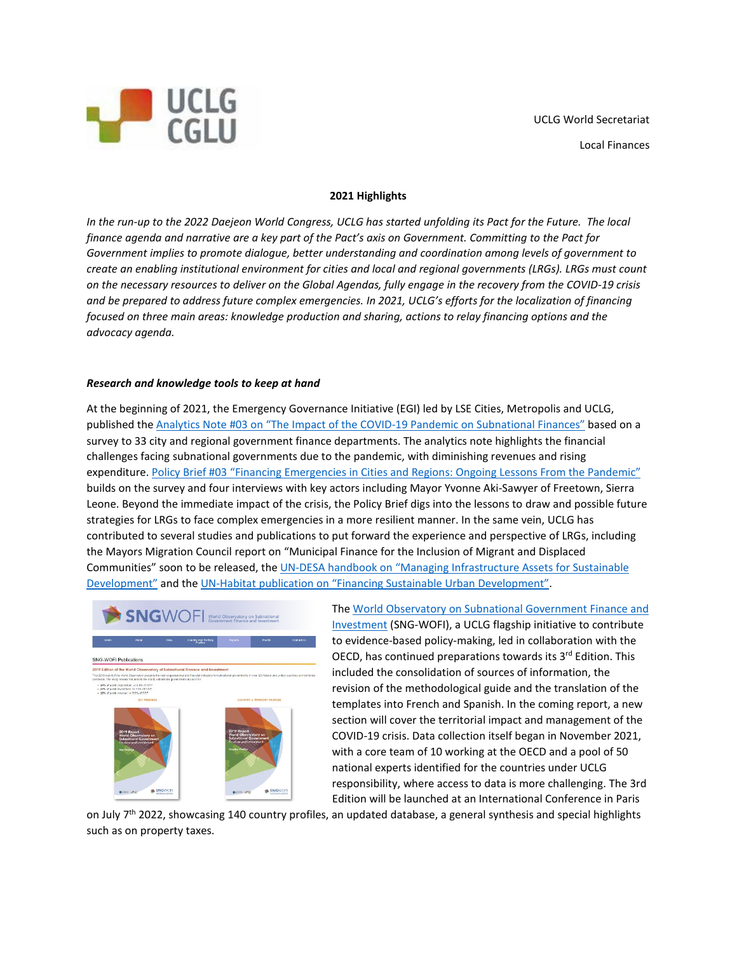

## **2021 Highlights**

*In the run-up to the 2022 Daejeon World Congress, UCLG has started unfolding its Pact for the Future. The local finance agenda and narrative are a key part of the Pact's axis on Government. Committing to the Pact for Government implies to promote dialogue, better understanding and coordination among levels of government to create an enabling institutional environment for cities and local and regional governments (LRGs). LRGs must count on the necessary resources to deliver on the Global Agendas, fully engage in the recovery from the COVID-19 crisis and be prepared to address future complex emergencies. In 2021, UCLG's efforts for the localization of financing focused on three main areas: knowledge production and sharing, actions to relay financing options and the advocacy agenda.*

## *Research and knowledge tools to keep at hand*

At the beginning of 2021, the Emergency Governance Initiative (EGI) led by LSE Cities, Metropolis and UCLG, published the [Analytics Note #03 on "The Impact of the COVID-19 Pandemic on Subnational Finances"](https://www.lse.ac.uk/Cities/publications/Policy-Briefs-and-Analytics-Notes/Analytics-Note-03-The-Impact-of-the-Covid-19-pandemic-on-Subnational-Finances) based on a survey to 33 city and regional government finance departments. The analytics note highlights the financial challenges facing subnational governments due to the pandemic, with diminishing revenues and rising expenditure. [Policy Brief #03 "Financing Emergencies in Cities and Regions: Ongoing Lessons From the Pandemic"](https://www.lse.ac.uk/Cities/publications/Policy-Briefs-and-Analytics-Notes/Policy-Brief-03-Emergency-Governance-Initiative) builds on the survey and four interviews with key actors including Mayor Yvonne Aki-Sawyer of Freetown, Sierra Leone. Beyond the immediate impact of the crisis, the Policy Brief digs into the lessons to draw and possible future strategies for LRGs to face complex emergencies in a more resilient manner. In the same vein, UCLG has contributed to several studies and publications to put forward the experience and perspective of LRGs, including the Mayors Migration Council report on "Municipal Finance for the Inclusion of Migrant and Displaced Communities" soon to be released, the [UN-DESA handbook on "Managing Infrastructure Assets for Sustainable](https://www.un.org/development/desa/financing/document/un-handbook-infrastructure-asset-management)  [Development"](https://www.un.org/development/desa/financing/document/un-handbook-infrastructure-asset-management) and the [UN-Habitat publication on "Financing Sustainable Urban Development".](https://unhabitat.org/online-reports/financing-sustainable-urban-development)



Th[e World Observatory on Subnational Government Finance and](https://www.sng-wofi.org/)  [Investment](https://www.sng-wofi.org/) (SNG-WOFI), a UCLG flagship initiative to contribute to evidence-based policy-making, led in collaboration with the OECD, has continued preparations towards its 3<sup>rd</sup> Edition. This included the consolidation of sources of information, the revision of the methodological guide and the translation of the templates into French and Spanish. In the coming report, a new section will cover the territorial impact and management of the COVID-19 crisis. Data collection itself began in November 2021, with a core team of 10 working at the OECD and a pool of 50 national experts identified for the countries under UCLG responsibility, where access to data is more challenging. The 3rd Edition will be launched at an International Conference in Paris

on July  $7<sup>th</sup>$  2022, showcasing 140 country profiles, an updated database, a general synthesis and special highlights such as on property taxes.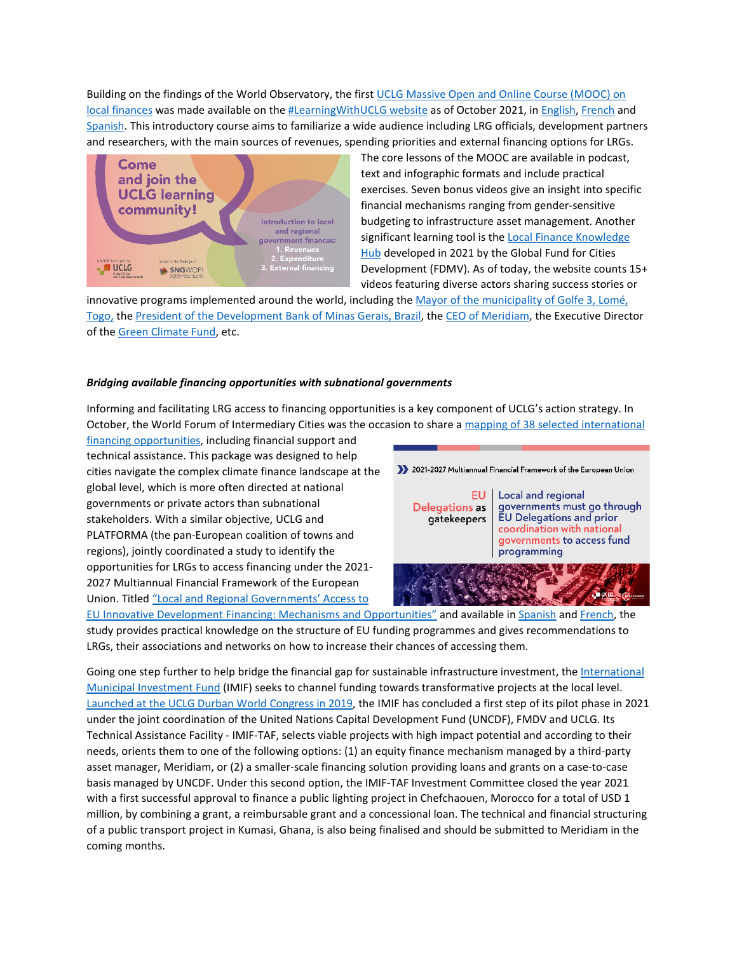Building on the findings of the World Observatory, the first [UCLG Massive Open and Online Course](https://learningwith.uclg.org/p/introduction-subnational-public-finance-across-the-world) (MOOC) on [local finances](https://learningwith.uclg.org/p/introduction-subnational-public-finance-across-the-world) was made available on th[e #LearningWithUCLG website](https://learningwith.uclg.org/) as of October 2021, i[n English,](https://learningwith.uclg.org/p/introduction-subnational-public-finance-across-the-world) [French](https://learningwith.uclg.org/p/introduction-aux-finances-des-collectivites-territoriales/?preview=logged_out) and [Spanish.](https://learningwith.uclg.org/p/introduccion-finanzas-subnacionales) This introductory course aims to familiarize a wide audience including LRG officials, development partners and researchers, with the main sources of revenues, spending priorities and external financing options for LRGs.



The core lessons of the MOOC are available in podcast, text and infographic formats and include practical exercises. Seven bonus videos give an insight into specific financial mechanisms ranging from gender-sensitive budgeting to infrastructure asset management. Another significant learning tool is the Local Finance Knowledge [Hub](https://localfinancehub.org/) developed in 2021 by the Global Fund for Cities Development (FDMV). As of today, the website counts 15+ videos featuring diverse actors sharing success stories or

innovative programs implemented around the world, including th[e Mayor of the municipality of Golfe 3, Lomé,](https://localfinancehub.org/kamal-adjayi-lome)  [Togo,](https://localfinancehub.org/kamal-adjayi-lome) th[e President of the Development Bank of Minas Gerais, Brazil,](https://localfinancehub.org/sergio-gusmao-suchodolski-bdmg) th[e CEO of Meridiam,](https://localfinancehub.org/thierry-deau-meridiam) the Executive Director of th[e Green Climate](https://localfinancehub.org/yannick-glemarec-gcf) Fund, etc.

## *Bridging available financing opportunities with subnational governments*

Informing and facilitating LRG access to financing opportunities is a key component of UCLG's action strategy. In October, the World Forum of Intermediary Cities was the occasion to share a [mapping of 38 selected international](https://docs.google.com/spreadsheets/d/11-0xUBZPZqtm9kCukIRbmgoEpU0ONBcy/edit?usp=sharing&ouid=117579077275420558274&rtpof=true&sd=true) 

[financing opportunities,](https://docs.google.com/spreadsheets/d/11-0xUBZPZqtm9kCukIRbmgoEpU0ONBcy/edit?usp=sharing&ouid=117579077275420558274&rtpof=true&sd=true) including financial support and technical assistance. This package was designed to help cities navigate the complex climate finance landscape at the global level, which is more often directed at national governments or private actors than subnational stakeholders. With a similar objective, UCLG and PLATFORMA (the pan-European coalition of towns and regions), jointly coordinated a study to identify the opportunities for LRGs to access financing under the 2021- 2027 Multiannual Financial Framework of the European Union. Title[d "Local and Regional Governments' Access to](https://www.uclg.org/sites/default/files/eng_estudio_lrg_digital.pdf) 



[EU Innovative Development Financing: Mechanisms and Opportunities"](https://www.uclg.org/sites/default/files/eng_estudio_lrg_digital.pdf) and available in [Spanish](https://www.uclg.org/sites/default/files/esp_estudio_lrg_digital.pdf) and [French,](https://www.uclg.org/sites/default/files/fra_estudio_lrg_digital.pdf) the study provides practical knowledge on the structure of EU funding programmes and gives recommendations to LRGs, their associations and networks on how to increase their chances of accessing them.

Going one step further to help bridge the financial gap for sustainable infrastructure investment, th[e International](https://www.uncdf.org/mif/imiftaf)  [Municipal Investment Fund](https://www.uncdf.org/mif/imiftaf) (IMIF) seeks to channel funding towards transformative projects at the local level. [Launched at the UCLG Durban World Congress in 2019,](https://www.uclg.org/en/media/news/setting-international-municipal-investment-fund-technical-assistance) the IMIF has concluded a first step of its pilot phase in 2021 under the joint coordination of the United Nations Capital Development Fund (UNCDF), FMDV and UCLG. Its Technical Assistance Facility - IMIF-TAF, selects viable projects with high impact potential and according to their needs, orients them to one of the following options: (1) an equity finance mechanism managed by a third-party asset manager, Meridiam, or (2) a smaller-scale financing solution providing loans and grants on a case-to-case basis managed by UNCDF. Under this second option, the IMIF-TAF Investment Committee closed the year 2021 with a first successful approval to finance a public lighting project in Chefchaouen, Morocco for a total of USD 1 million, by combining a grant, a reimbursable grant and a concessional loan. The technical and financial structuring of a public transport project in Kumasi, Ghana, is also being finalised and should be submitted to Meridiam in the coming months.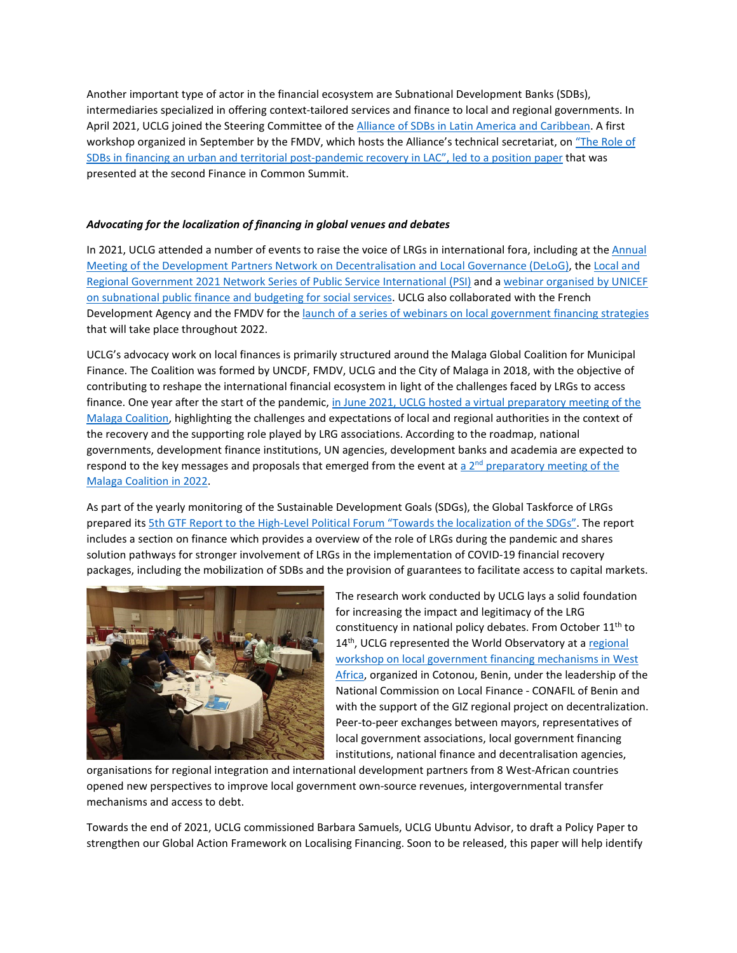Another important type of actor in the financial ecosystem are Subnational Development Banks (SDBs), intermediaries specialized in offering context-tailored services and finance to local and regional governments. In April 2021, UCLG joined the Steering Committee of th[e Alliance of SDBs in Latin America and Caribbean.](https://www.iddri.org/en/publications-and-events/conference/replay-launching-event-alliance-subnational-development-banks) A first workshop organized in September by the FMDV, which hosts the Alliance's technical secretariat, on ["The Role of](https://financeincommon.org/the-role-of-subnational-development-banks-in-financing-an-urban-and-territorial-resilient-post)  [SDBs in financing an urban and territorial post-pandemic recovery in LAC",](https://financeincommon.org/the-role-of-subnational-development-banks-in-financing-an-urban-and-territorial-resilient-post) led to a position paper that was presented at the second Finance in Common Summit.

## *Advocating for the localization of financing in global venues and debates*

In 2021, UCLG attended a number of events to raise the voice of LRGs in international fora, including at the Annual [Meeting of the Development Partners Network on Decentralisation and Local Governance \(DeLoG\),](https://www.delog.org/fileadmin/user_upload/annual_meetings/pdf/Report_DeLoG_AM_2021.pdf) th[e Local and](https://publicservices.international/resources/events/lrg-workers-network-series---1st-thematic-session?id=11893&lang=en)  Regional Government 2021 Network Series [of Public Service International \(PSI\)](https://publicservices.international/resources/events/lrg-workers-network-series---1st-thematic-session?id=11893&lang=en) and [a webinar organised by UNICEF](https://www.unicef.org/documents/subnational-public-finance-programme-briefs)  [on subnational public finance and budgeting for social services.](https://www.unicef.org/documents/subnational-public-finance-programme-briefs) UCLG also collaborated with the French Development Agency and the FMDV for th[e launch of a series of webinars on local government financing strategies](https://localfinancehub.org/lancement-cycle-webinaires-campus-afd) that will take place throughout 2022.

UCLG's advocacy work on local finances is primarily structured around the Malaga Global Coalition for Municipal Finance. The Coalition was formed by UNCDF, FMDV, UCLG and the City of Malaga in 2018, with the objective of contributing to reshape the international financial ecosystem in light of the challenges faced by LRGs to access finance. One year after the start of the pandemic, in June 2021, UCLG hosted a virtual preparatory meeting of the [Malaga Coalition,](https://www.uclg.org/sites/default/files/malaga_coalition_first_preparatory_meeting_proceedings.pdf) highlighting the challenges and expectations of local and regional authorities in the context of the recovery and the supporting role played by LRG associations. According to the roadmap, national governments, development finance institutions, UN agencies, development banks and academia are expected to respond to the key messages and proposals that emerged from the event at a  $2^{nd}$  [preparatory meeting](https://www.uncdf.org/article/6728/towards-the-third-meeting-of-the-malaga-global-coalition-for-municipal-finance-a-roadmap) of the [Malaga Coalition in 2022.](https://www.uncdf.org/article/6728/towards-the-third-meeting-of-the-malaga-global-coalition-for-municipal-finance-a-roadmap)

As part of the yearly monitoring of the Sustainable Development Goals (SDGs), the Global Taskforce of LRGs prepared its [5th GTF Report to the High-Level Political Forum](https://www.global-taskforce.org/sites/default/files/2021-07/5th%20report_gtf_hlpf_2021.pdf) "Towards the localization of the SDGs". The report includes a section on finance which provides a overview of the role of LRGs during the pandemic and shares solution pathways for stronger involvement of LRGs in the implementation of COVID-19 financial recovery packages, including the mobilization of SDBs and the provision of guarantees to facilitate access to capital markets.



The research work conducted by UCLG lays a solid foundation for increasing the impact and legitimacy of the LRG constituency in national policy debates. From October  $11<sup>th</sup>$  to 14<sup>th</sup>, UCLG represented the World Observatory at a regional [workshop on local government financing mechanisms in West](https://www.cglu.org/en/media/news/exchanges-local-government-financing-mechanisms-and-information-systems-west-africa)  [Africa,](https://www.cglu.org/en/media/news/exchanges-local-government-financing-mechanisms-and-information-systems-west-africa) organized in Cotonou, Benin, under the leadership of the National Commission on Local Finance - CONAFIL of Benin and with the support of the GIZ regional project on decentralization. Peer-to-peer exchanges between mayors, representatives of local government associations, local government financing institutions, national finance and decentralisation agencies,

organisations for regional integration and international development partners from 8 West-African countries opened new perspectives to improve local government own-source revenues, intergovernmental transfer mechanisms and access to debt.

Towards the end of 2021, UCLG commissioned Barbara Samuels, UCLG Ubuntu Advisor, to draft a Policy Paper to strengthen our Global Action Framework on Localising Financing. Soon to be released, this paper will help identify